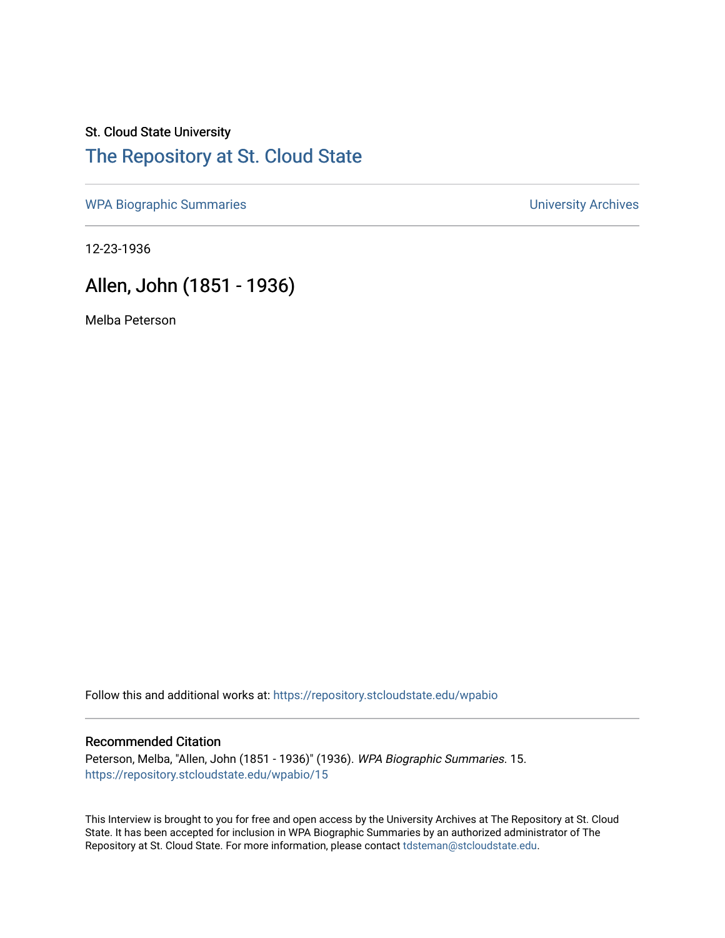## St. Cloud State University [The Repository at St. Cloud State](https://repository.stcloudstate.edu/)

[WPA Biographic Summaries](https://repository.stcloudstate.edu/wpabio) **WPA Biographic Summaries University Archives** 

12-23-1936

## Allen, John (1851 - 1936)

Melba Peterson

Follow this and additional works at: [https://repository.stcloudstate.edu/wpabio](https://repository.stcloudstate.edu/wpabio?utm_source=repository.stcloudstate.edu%2Fwpabio%2F15&utm_medium=PDF&utm_campaign=PDFCoverPages) 

## Recommended Citation

Peterson, Melba, "Allen, John (1851 - 1936)" (1936). WPA Biographic Summaries. 15. [https://repository.stcloudstate.edu/wpabio/15](https://repository.stcloudstate.edu/wpabio/15?utm_source=repository.stcloudstate.edu%2Fwpabio%2F15&utm_medium=PDF&utm_campaign=PDFCoverPages)

This Interview is brought to you for free and open access by the University Archives at The Repository at St. Cloud State. It has been accepted for inclusion in WPA Biographic Summaries by an authorized administrator of The Repository at St. Cloud State. For more information, please contact [tdsteman@stcloudstate.edu.](mailto:tdsteman@stcloudstate.edu)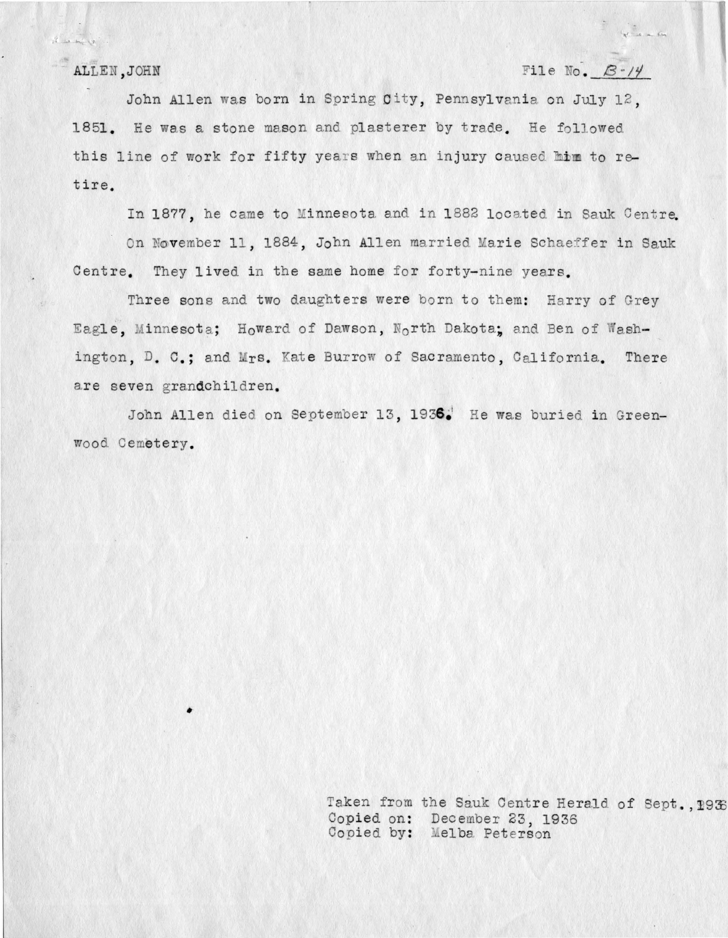$\label{eq:Riccati} \mathcal{R}_\text{c} = \mathcal{R}_\text{c} + \mathcal{R}_\text{c}$ 

ALLEN, JOHN ... . FILE No. 8-14

 $\begin{array}{c} \n\sqrt{2} & \text{if } x \in \mathbb{R}^n, \\
\end{array}$ 

John Allen was born in Spring City, Pennsylvania on July 12. 1851. He was a stone mason and plasterer by trade. He followed this line of work for fifty years when an injury caused mim to retire.

In 1877, he came to Minnesota and in 1882 located in Sauk Centre.

On November 11, 1884, John Allen married Marie Schaeffer in Sauk Centre. They lived in the same home for forty-nine years.

Three sons and two daughters were born to them: Harry of Grey Eagle, Minnesota; Howard of Dawson, North Dakota; and Ben of Washington, D. C.; and Mrs. Kate Burrow of Sacramento, California. There are seven grandchildren.

John Allen died on September 13, 1936.<sup>1</sup> He was buried in Greenwood. Cemetery.

> Taken from the Sauk Centre Herald of Sept., 1938 Copied on: December 23, 1936 Copied by: Melba Peterson